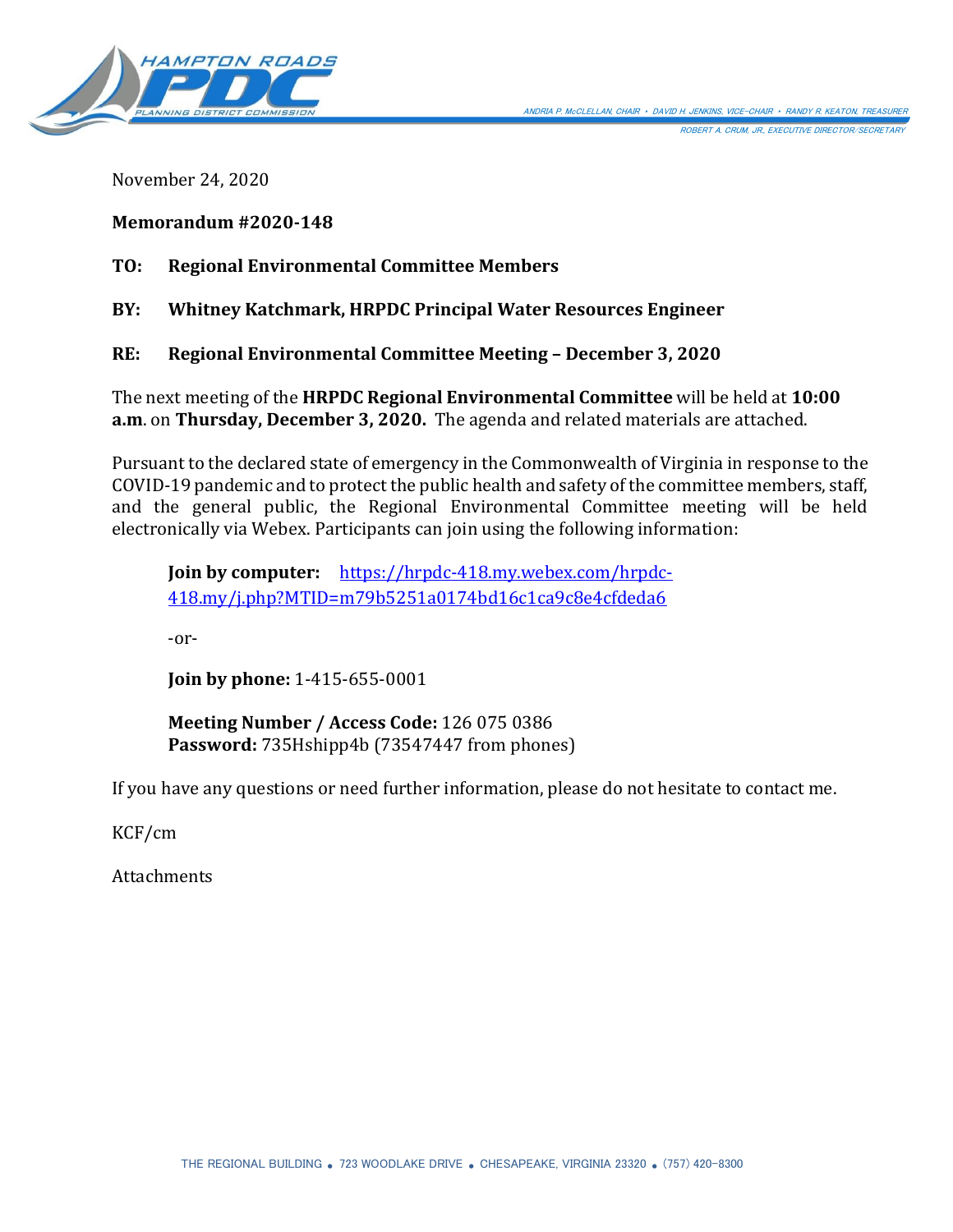

November 24, 2020

## **Memorandum #2020-148**

**TO: Regional Environmental Committee Members** 

**BY: Whitney Katchmark, HRPDC Principal Water Resources Engineer** 

**RE: Regional Environmental Committee Meeting – December 3, 2020**

The next meeting of the **HRPDC Regional Environmental Committee** will be held at **10:00 a.m**. on **Thursday, December 3, 2020.** The agenda and related materials are attached.

Pursuant to the declared state of emergency in the Commonwealth of Virginia in response to the COVID-19 pandemic and to protect the public health and safety of the committee members, staff, and the general public, the Regional Environmental Committee meeting will be held electronically via Webex. Participants can join using the following information:

**Join by computer:** [https://hrpdc-418.my.webex.com/hrpdc-](https://hrpdc-418.my.webex.com/hrpdc-418.my/j.php?MTID=m79b5251a0174bd16c1ca9c8e4cfdeda6)[418.my/j.php?MTID=m79b5251a0174bd16c1ca9c8e4cfdeda6](https://hrpdc-418.my.webex.com/hrpdc-418.my/j.php?MTID=m79b5251a0174bd16c1ca9c8e4cfdeda6)

-or-

**Join by phone:** 1-415-655-0001

**Meeting Number / Access Code:** 126 075 0386 **Password:** 735Hshipp4b (73547447 from phones)

If you have any questions or need further information, please do not hesitate to contact me.

KCF/cm

**Attachments**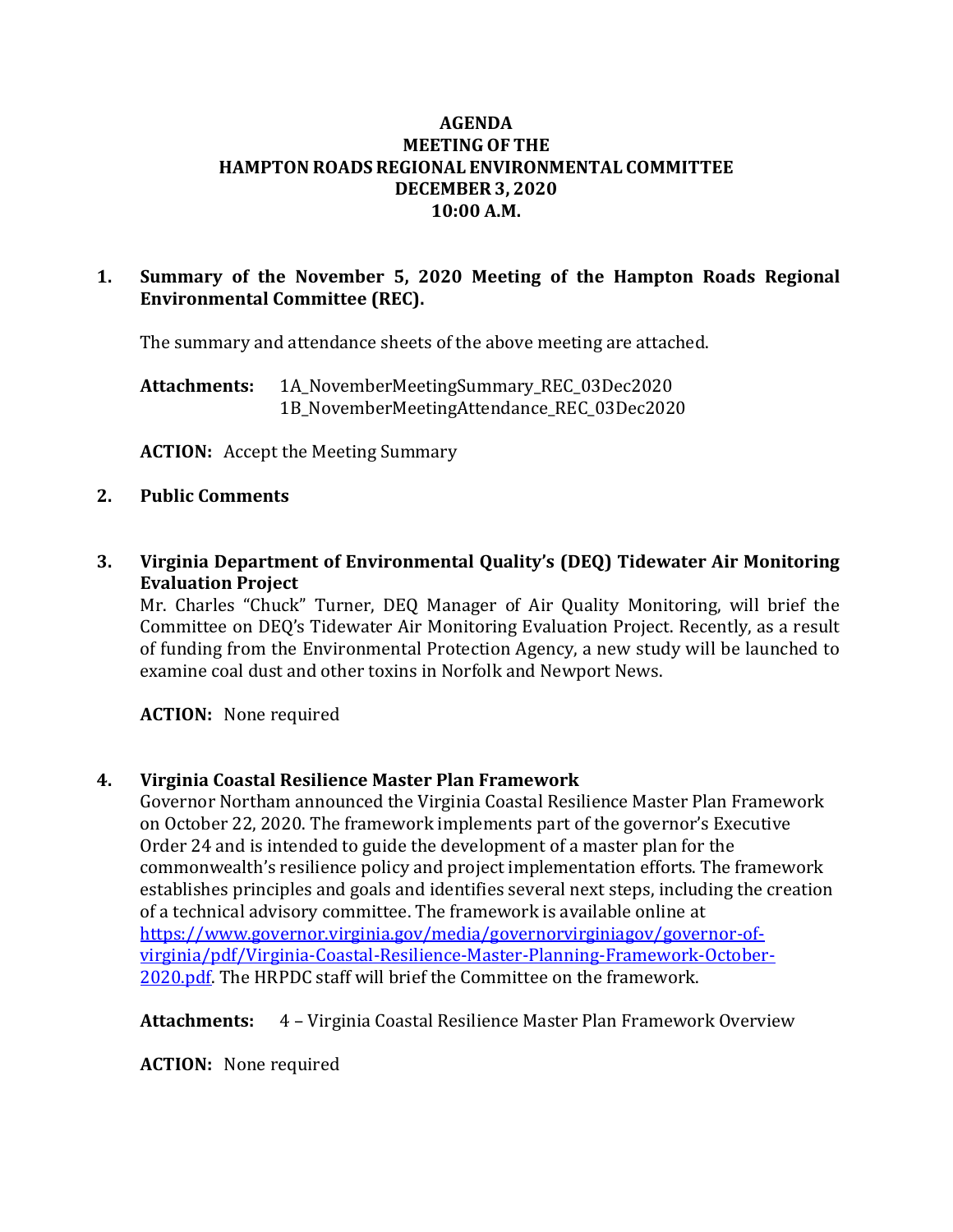### **AGENDA MEETING OF THE HAMPTON ROADS REGIONAL ENVIRONMENTAL COMMITTEE DECEMBER 3, 2020 10:00 A.M.**

## **1. Summary of the November 5, 2020 Meeting of the Hampton Roads Regional Environmental Committee (REC).**

The summary and attendance sheets of the above meeting are attached.

**Attachments:** 1A\_NovemberMeetingSummary\_REC\_03Dec2020 1B NovemberMeetingAttendance REC 03Dec2020

**ACTION:** Accept the Meeting Summary

#### **2. Public Comments**

**3. Virginia Department of Environmental Quality's (DEQ) Tidewater Air Monitoring Evaluation Project**

Mr. Charles "Chuck" Turner, DEQ Manager of Air Quality Monitoring, will brief the Committee on DEQ's Tidewater Air Monitoring Evaluation Project. Recently, as a result of funding from the Environmental Protection Agency, a new study will be launched to examine coal dust and other toxins in Norfolk and Newport News.

**ACTION:** None required

### **4. Virginia Coastal Resilience Master Plan Framework**

Governor Northam announced the Virginia Coastal Resilience Master Plan Framework on October 22, 2020. The framework implements part of the governor's Executive Order 24 and is intended to guide the development of a master plan for the commonwealth's resilience policy and project implementation efforts. The framework establishes principles and goals and identifies several next steps, including the creation of a technical advisory committee. The framework is available online at [https://www.governor.virginia.gov/media/governorvirginiagov/governor-of](https://www.governor.virginia.gov/media/governorvirginiagov/governor-of-virginia/pdf/Virginia-Coastal-Resilience-Master-Planning-Framework-October-2020.pdf)[virginia/pdf/Virginia-Coastal-Resilience-Master-Planning-Framework-October-](https://www.governor.virginia.gov/media/governorvirginiagov/governor-of-virginia/pdf/Virginia-Coastal-Resilience-Master-Planning-Framework-October-2020.pdf)[2020.pdf.](https://www.governor.virginia.gov/media/governorvirginiagov/governor-of-virginia/pdf/Virginia-Coastal-Resilience-Master-Planning-Framework-October-2020.pdf) The HRPDC staff will brief the Committee on the framework.

**Attachments:** 4 – Virginia Coastal Resilience Master Plan Framework Overview

**ACTION:** None required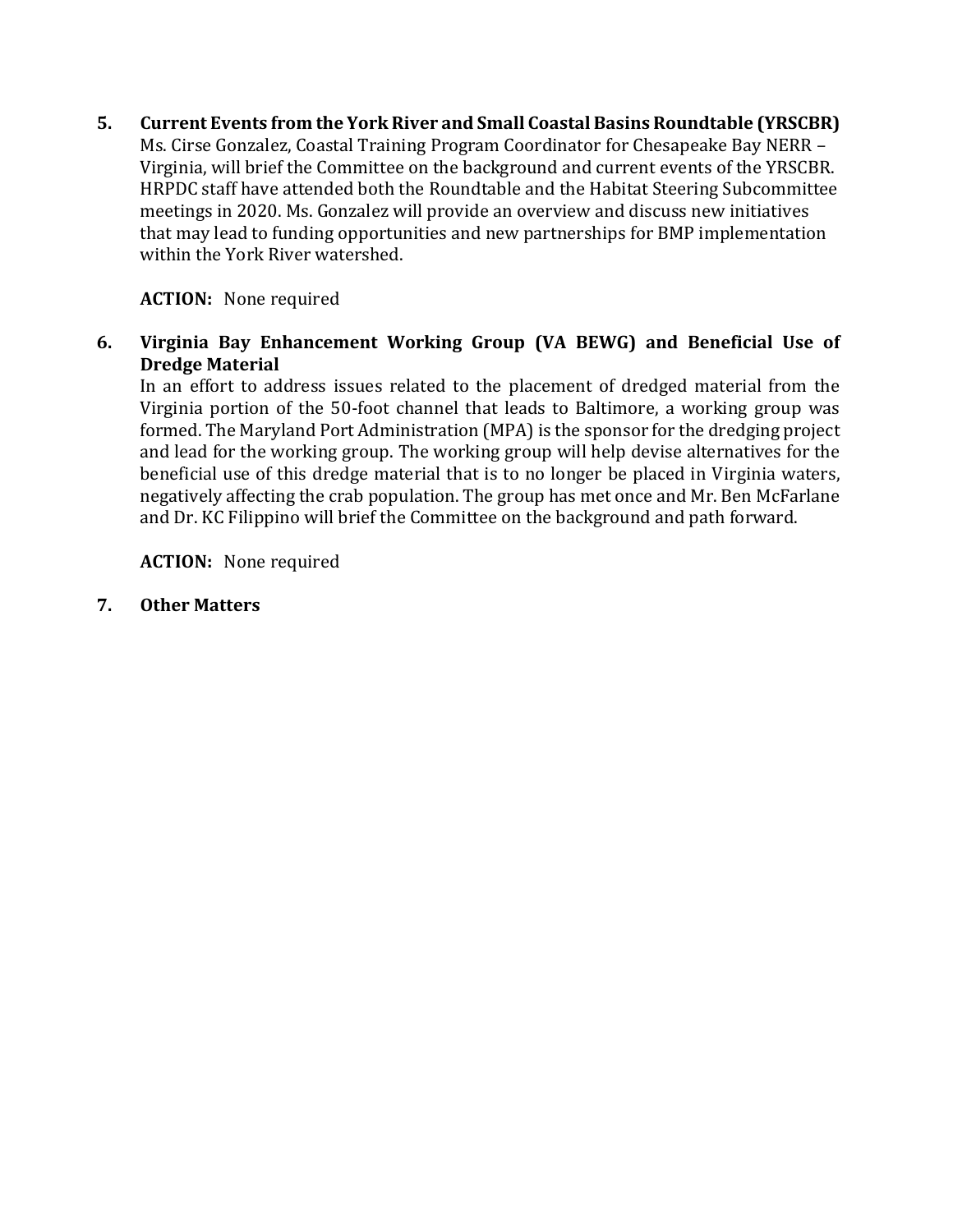**5. Current Events from the York River and Small Coastal Basins Roundtable (YRSCBR)** Ms. Cirse Gonzalez, Coastal Training Program Coordinator for Chesapeake Bay NERR – Virginia, will brief the Committee on the background and current events of the YRSCBR. HRPDC staff have attended both the Roundtable and the Habitat Steering Subcommittee meetings in 2020. Ms. Gonzalez will provide an overview and discuss new initiatives that may lead to funding opportunities and new partnerships for BMP implementation within the York River watershed.

# **ACTION:** None required

**6. Virginia Bay Enhancement Working Group (VA BEWG) and Beneficial Use of Dredge Material**

In an effort to address issues related to the placement of dredged material from the Virginia portion of the 50-foot channel that leads to Baltimore, a working group was formed. The Maryland Port Administration (MPA) is the sponsor for the dredging project and lead for the working group. The working group will help devise alternatives for the beneficial use of this dredge material that is to no longer be placed in Virginia waters, negatively affecting the crab population. The group has met once and Mr. Ben McFarlane and Dr. KC Filippino will brief the Committee on the background and path forward.

**ACTION:** None required

**7. Other Matters**